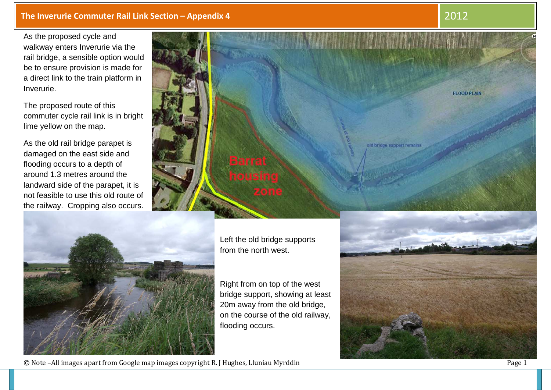## **The Inverurie Commuter Rail Link Section – Appendix 4**

**4** 2012

As the proposed cycle and walkway enters Inverurie via the rail bridge, a sensible option would be to ensure provision is made for a direct link to the train platform in Inverurie.

The proposed route of this commuter cycle rail link is in bright lime yellow on the map.

As the old rail bridge parapet is damaged on the east side and flooding occurs to a depth of around 1.3 metres around the landward side of the parapet, it is not feasible to use this old route of the railway. Cropping also occurs.





Left the old bridge supports from the north west.

Right from on top of the west bridge support, showing at least 20m away from the old bridge, on the course of the old railway, flooding occurs.



© Note –All images apart from Google map images copyright R. J Hughes, Lluniau Myrddin Page 1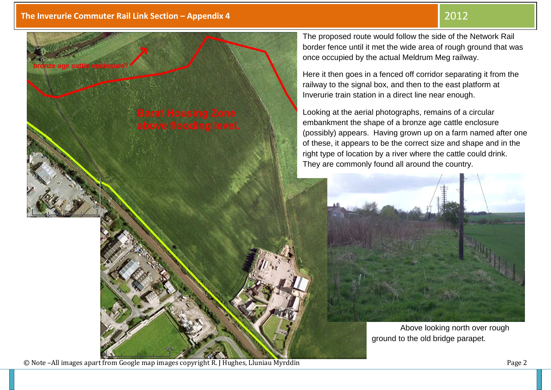

© Note –All images apart from Google map images copyright R. J Hughes, Lluniau Myrddin Page 2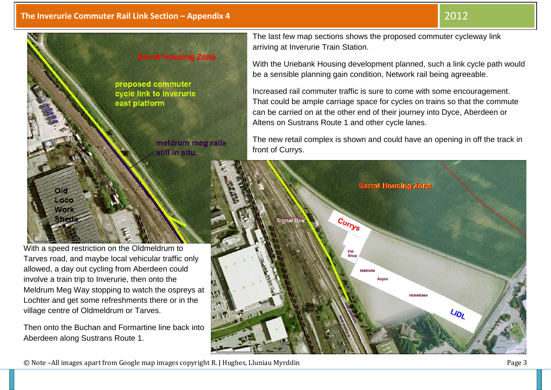



With a speed restriction on the Oldmeldrum to Tarves road, and maybe local vehicular traffic onlyallowed, a day out cycling from Aberdeen could involve a train trip to Inverurie, then onto the Meldrum Meg Way stopping to watch the ospreys at Lochter and get some refreshments there or in the village centre of Oldmeldrum or Tarves.

Then onto the Buchan and Formartine line back into Aberdeen along Sustrans Route 1.

The last few map sections shows the proposed commuter cycleway link arriving at Inverurie Train Station.

With the Uriebank Housing development planned, such a link cycle path would be a sensible planning gain condition, Network rail being agreeable.

Increased rail commuter traffic is sure to come with some encouragement. That could be ample carriage space for cycles on trains so that the commute can be carried on at the other end of their journey into Dyce, Aberdeen or Altens on Sustrans Route 1 and other cycle lanes.

The new retail complex is shown and could have an opening in off the track in front of Currys.



© Note –All images apart from Google map images copyright R. J Hughes, Lluniau Myrddin Page 3